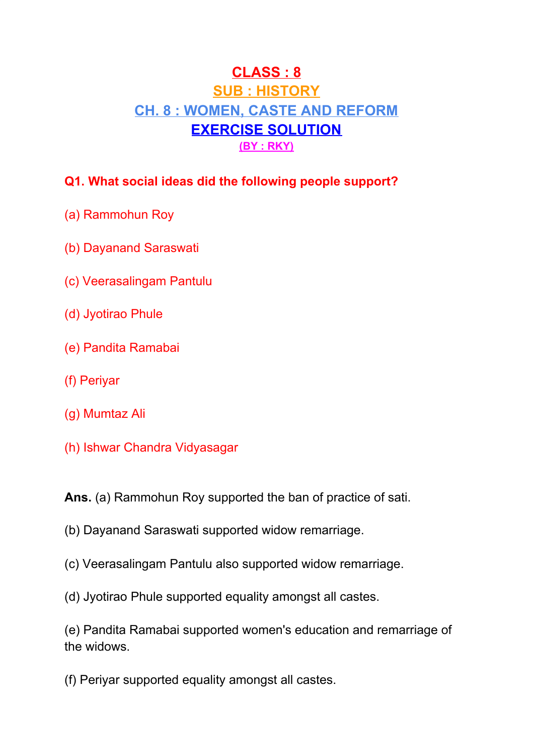# **CLASS : 8 SUB : HISTORY CH. 8 : WOMEN, CASTE AND REFORM EXERCISE SOLUTION (BY : RKY)**

### **Q1. What social ideas did the following people support?**

- (a) Rammohun Roy
- (b) Dayanand Saraswati
- (c) Veerasalingam Pantulu
- (d) Jyotirao Phule
- (e) Pandita Ramabai
- (f) Periyar
- (g) Mumtaz Ali
- (h) Ishwar Chandra Vidyasagar

**Ans.** (a) Rammohun Roy supported the ban of practice of sati.

- (b) Dayanand Saraswati supported widow remarriage.
- (c) Veerasalingam Pantulu also supported widow remarriage.
- (d) Jyotirao Phule supported equality amongst all castes.

(e) Pandita Ramabai supported women's education and remarriage of the widows.

(f) Periyar supported equality amongst all castes.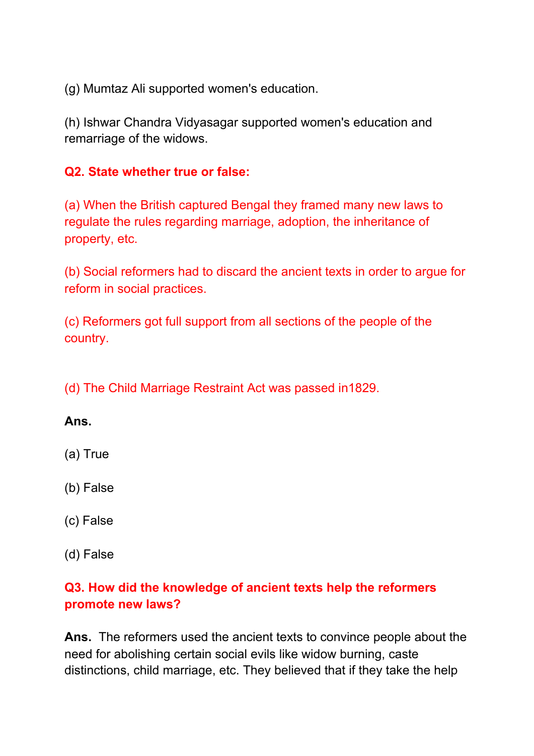(g) Mumtaz Ali supported women's education.

(h) Ishwar Chandra Vidyasagar supported women's education and remarriage of the widows.

#### **Q2. State whether true or false:**

(a) When the British captured Bengal they framed many new laws to regulate the rules regarding marriage, adoption, the inheritance of property, etc.

(b) Social reformers had to discard the ancient texts in order to argue for reform in social practices.

(c) Reformers got full support from all sections of the people of the country.

(d) The Child Marriage Restraint Act was passed in1829.

#### **Ans.**

(a) True

(b) False

- (c) False
- (d) False

#### **Q3. How did the knowledge of ancient texts help the reformers promote new laws?**

**Ans.** The reformers used the ancient texts to convince people about the need for abolishing certain social evils like widow burning, caste distinctions, child marriage, etc. They believed that if they take the help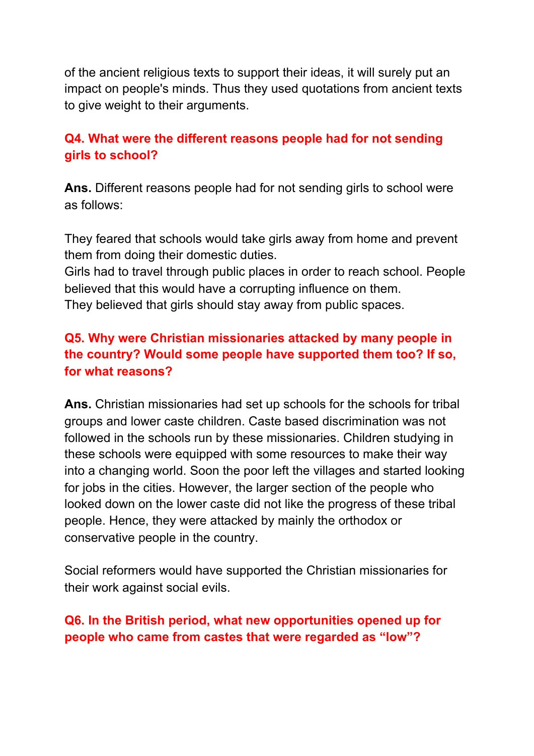of the ancient religious texts to support their ideas, it will surely put an impact on people's minds. Thus they used quotations from ancient texts to give weight to their arguments.

#### **Q4. What were the different reasons people had for not sending girls to school?**

**Ans.** Different reasons people had for not sending girls to school were as follows:

They feared that schools would take girls away from home and prevent them from doing their domestic duties.

Girls had to travel through public places in order to reach school. People believed that this would have a corrupting influence on them. They believed that girls should stay away from public spaces.

### **Q5. Why were Christian missionaries attacked by many people in the country? Would some people have supported them too? If so, for what reasons?**

**Ans.** Christian missionaries had set up schools for the schools for tribal groups and lower caste children. Caste based discrimination was not followed in the schools run by these missionaries. Children studying in these schools were equipped with some resources to make their way into a changing world. Soon the poor left the villages and started looking for jobs in the cities. However, the larger section of the people who looked down on the lower caste did not like the progress of these tribal people. Hence, they were attacked by mainly the orthodox or conservative people in the country.

Social reformers would have supported the Christian missionaries for their work against social evils.

#### **Q6. In the British period, what new opportunities opened up for people who came from castes that were regarded as "low"?**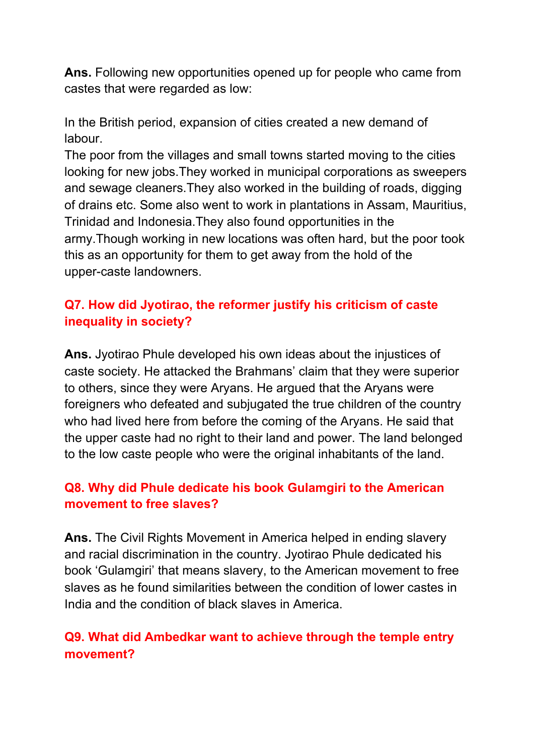**Ans.** Following new opportunities opened up for people who came from castes that were regarded as low:

In the British period, expansion of cities created a new demand of labour.

The poor from the villages and small towns started moving to the cities looking for new jobs.They worked in municipal corporations as sweepers and sewage cleaners.They also worked in the building of roads, digging of drains etc. Some also went to work in plantations in Assam, Mauritius, Trinidad and Indonesia.They also found opportunities in the army.Though working in new locations was often hard, but the poor took this as an opportunity for them to get away from the hold of the upper-caste landowners.

### **Q7. How did Jyotirao, the reformer justify his criticism of caste inequality in society?**

**Ans.** Jyotirao Phule developed his own ideas about the injustices of caste society. He attacked the Brahmans' claim that they were superior to others, since they were Aryans. He argued that the Aryans were foreigners who defeated and subjugated the true children of the country who had lived here from before the coming of the Aryans. He said that the upper caste had no right to their land and power. The land belonged to the low caste people who were the original inhabitants of the land.

#### **Q8. Why did Phule dedicate his book Gulamgiri to the American movement to free slaves?**

**Ans.** The Civil Rights Movement in America helped in ending slavery and racial discrimination in the country. Jyotirao Phule dedicated his book 'Gulamgiri' that means slavery, to the American movement to free slaves as he found similarities between the condition of lower castes in India and the condition of black slaves in America.

#### **Q9. What did Ambedkar want to achieve through the temple entry movement?**